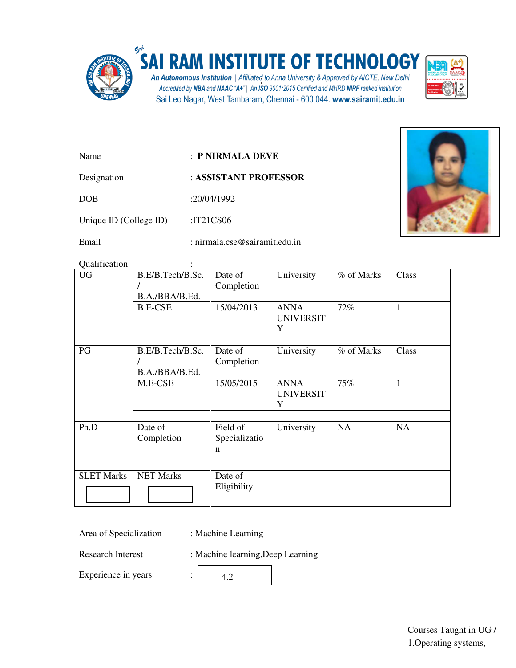

## **RAM INSTITUTE OF TECHNOLOGY**

An Autonomous Institution | Affiliated to Anna University & Approved by AICTE, New Delhi<br>Accredited by NBA and NAAC "A+" | An ISO 9001:2015 Certified and MHRD NIRF ranked institution Sai Leo Nagar, West Tambaram, Chennai - 600 044. www.sairamit.edu.in



- Name : **P NIRMALA DEVE**
- Designation : **ASSISTANT PROFESSOR**

DOB :20/04/1992

Unique ID (College ID) :IT21CS06

Email : nirmala.cse@sairamit.edu.in

Qualification :

| <b>UG</b>         | B.E/B.Tech/B.Sc.<br>B.A./BBA/B.Ed. | Date of<br>Completion          | University                           | % of Marks | Class        |
|-------------------|------------------------------------|--------------------------------|--------------------------------------|------------|--------------|
|                   | <b>B.E-CSE</b>                     | 15/04/2013                     | <b>ANNA</b><br><b>UNIVERSIT</b><br>Y | 72%        | $\mathbf{1}$ |
| PG                | B.E/B.Tech/B.Sc.<br>B.A./BBA/B.Ed. | Date of<br>Completion          | University                           | % of Marks | Class        |
|                   | M.E-CSE                            | 15/05/2015                     | <b>ANNA</b><br><b>UNIVERSIT</b><br>Y | 75%        | $\mathbf{1}$ |
| Ph.D              | Date of<br>Completion              | Field of<br>Specializatio<br>n | University                           | <b>NA</b>  | NA           |
| <b>SLET Marks</b> | <b>NET Marks</b>                   | Date of<br>Eligibility         |                                      |            |              |

Area of Specialization : Machine Learning

Research Interest : Machine learning, Deep Learning

Experience in years :

4.2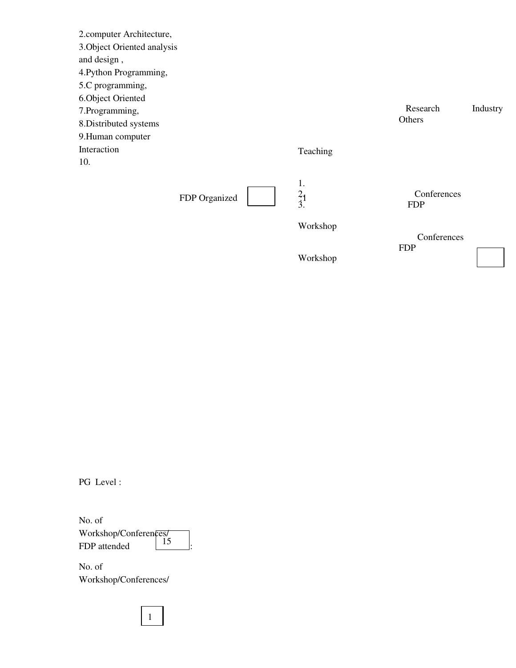2.computer Architecture, 3.Object Oriented analysis and design , 4.Python Programming, 5.C programming, 6.Object Oriented 7.Programming, 8.Distributed systems 9.Human computer Interaction 10. FDP Organized Teaching 1.  $2_{1}$ 3. Research Industry **Others**  Conferences FDP

Workshop

Workshop

**Conferences** FDP

PG Level :

No. of Workshop/Conferences/ FDP attended  $\boxed{15}$ .

1

No. of Workshop/Conferences/